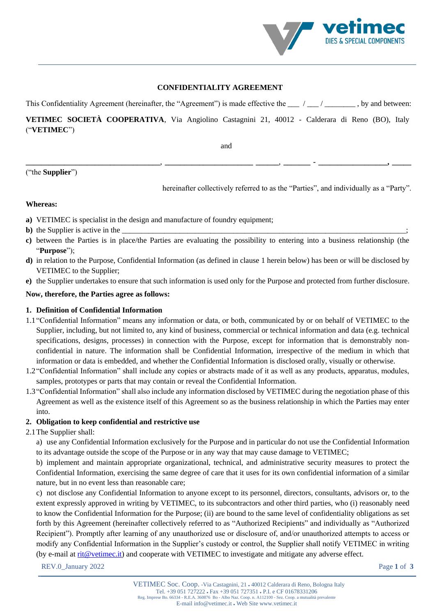

## **CONFIDENTIALITY AGREEMENT**

This Confidentiality Agreement (hereinafter, the "Agreement") is made effective the  $\frac{1}{\sqrt{2}}$  / $\frac{1}{\sqrt{2}}$ , by and between:

# **VETIMEC SOCIETÀ COOPERATIVA**, Via Angiolino Castagnini 21, 40012 - Calderara di Reno (BO), Italy ("**VETIMEC**")

**\_\_\_\_\_\_\_\_\_\_\_\_\_\_\_\_\_\_\_\_\_\_\_\_\_\_\_\_\_\_\_\_\_\_\_**, **\_\_\_\_\_\_\_\_\_\_\_\_\_\_\_\_\_\_\_\_\_\_\_ \_\_\_\_\_\_**, **\_\_\_\_\_\_\_ - \_\_\_\_\_\_\_\_\_\_\_\_\_\_\_\_\_\_, \_\_\_\_\_**

and

("the **Supplier**")

hereinafter collectively referred to as the "Parties", and individually as a "Party".

# **Whereas:**

- **a)** VETIMEC is specialist in the design and manufacture of foundry equipment;
- **b**) the Supplier is active in the
- **c)** between the Parties is in place/the Parties are evaluating the possibility to entering into a business relationship (the "**Purpose**");
- **d)** in relation to the Purpose, Confidential Information (as defined in clause 1 herein below) has been or will be disclosed by VETIMEC to the Supplier;
- **e)** the Supplier undertakes to ensure that such information is used only for the Purpose and protected from further disclosure.

#### **Now, therefore, the Parties agree as follows:**

#### **1. Definition of Confidential Information**

- 1.1"Confidential Information" means any information or data, or both, communicated by or on behalf of VETIMEC to the Supplier, including, but not limited to, any kind of business, commercial or technical information and data (e.g. technical specifications, designs, processes) in connection with the Purpose, except for information that is demonstrably nonconfidential in nature. The information shall be Confidential Information, irrespective of the medium in which that information or data is embedded, and whether the Confidential Information is disclosed orally, visually or otherwise.
- 1.2"Confidential Information" shall include any copies or abstracts made of it as well as any products, apparatus, modules, samples, prototypes or parts that may contain or reveal the Confidential Information.
- 1.3"Confidential Information" shall also include any information disclosed by VETIMEC during the negotiation phase of this Agreement as well as the existence itself of this Agreement so as the business relationship in which the Parties may enter into.

#### **2. Obligation to keep confidential and restrictive use**

2.1The Supplier shall:

a) use any Confidential Information exclusively for the Purpose and in particular do not use the Confidential Information to its advantage outside the scope of the Purpose or in any way that may cause damage to VETIMEC;

b) implement and maintain appropriate organizational, technical, and administrative security measures to protect the Confidential Information, exercising the same degree of care that it uses for its own confidential information of a similar nature, but in no event less than reasonable care;

c) not disclose any Confidential Information to anyone except to its personnel, directors, consultants, advisors or, to the extent expressly approved in writing by VETIMEC, to its subcontractors and other third parties, who (i) reasonably need to know the Confidential Information for the Purpose; (ii) are bound to the same level of confidentiality obligations as set forth by this Agreement (hereinafter collectively referred to as "Authorized Recipients" and individually as "Authorized Recipient"). Promptly after learning of any unauthorized use or disclosure of, and/or unauthorized attempts to access or modify any Confidential Information in the Supplier's custody or control, the Supplier shall notify VETIMEC in writing (by e-mail at [rit@vetimec.it\)](mailto:rit@vetimec.it) and cooperate with VETIMEC to investigate and mitigate any adverse effect.

REV.0 January 2022 Page 1 of 3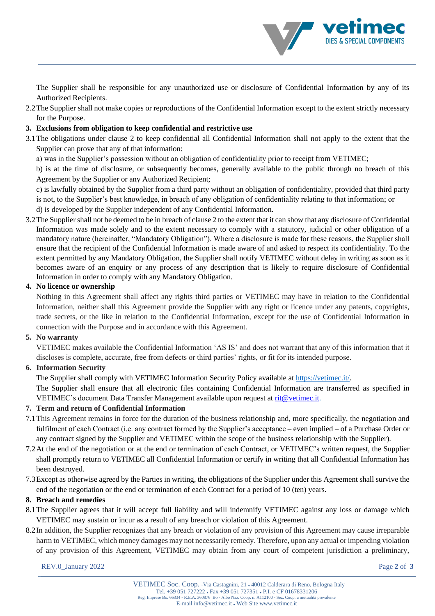The Supplier shall be responsible for any unauthorized use or disclosure of Confidential Information by any of its Authorized Recipients.

2.2The Supplier shall not make copies or reproductions of the Confidential Information except to the extent strictly necessary for the Purpose.

# **3. Exclusions from obligation to keep confidential and restrictive use**

3.1The obligations under clause 2 to keep confidential all Confidential Information shall not apply to the extent that the Supplier can prove that any of that information:

a) was in the Supplier's possession without an obligation of confidentiality prior to receipt from VETIMEC;

b) is at the time of disclosure, or subsequently becomes, generally available to the public through no breach of this Agreement by the Supplier or any Authorized Recipient;

c) is lawfully obtained by the Supplier from a third party without an obligation of confidentiality, provided that third party is not, to the Supplier's best knowledge, in breach of any obligation of confidentiality relating to that information; or d) is developed by the Supplier independent of any Confidential Information.

3.2The Supplier shall not be deemed to be in breach of clause 2 to the extent that it can show that any disclosure of Confidential Information was made solely and to the extent necessary to comply with a statutory, judicial or other obligation of a mandatory nature (hereinafter, "Mandatory Obligation"). Where a disclosure is made for these reasons, the Supplier shall ensure that the recipient of the Confidential Information is made aware of and asked to respect its confidentiality. To the extent permitted by any Mandatory Obligation, the Supplier shall notify VETIMEC without delay in writing as soon as it becomes aware of an enquiry or any process of any description that is likely to require disclosure of Confidential Information in order to comply with any Mandatory Obligation.

# **4. No licence or ownership**

Nothing in this Agreement shall affect any rights third parties or VETIMEC may have in relation to the Confidential Information, neither shall this Agreement provide the Supplier with any right or licence under any patents, copyrights, trade secrets, or the like in relation to the Confidential Information, except for the use of Confidential Information in connection with the Purpose and in accordance with this Agreement.

# **5. No warranty**

VETIMEC makes available the Confidential Information 'AS IS' and does not warrant that any of this information that it discloses is complete, accurate, free from defects or third parties' rights, or fit for its intended purpose.

# **6. Information Security**

The Supplier shall comply with VETIMEC Information Security Policy available a[t https://vetimec.it/.](https://vetimec.it/)

The Supplier shall ensure that all electronic files containing Confidential Information are transferred as specified in VETIMEC's document Data Transfer Management available upon request at [rit@vetimec.it.](mailto:rit@vetimec.it)

# **7. Term and return of Confidential Information**

- 7.1This Agreement remains in force for the duration of the business relationship and, more specifically, the negotiation and fulfilment of each Contract (i.e. any contract formed by the Supplier's acceptance – even implied – of a Purchase Order or any contract signed by the Supplier and VETIMEC within the scope of the business relationship with the Supplier).
- 7.2At the end of the negotiation or at the end or termination of each Contract, or VETIMEC's written request, the Supplier shall promptly return to VETIMEC all Confidential Information or certify in writing that all Confidential Information has been destroyed.
- 7.3Except as otherwise agreed by the Parties in writing, the obligations of the Supplier under this Agreement shall survive the end of the negotiation or the end or termination of each Contract for a period of 10 (ten) years.

# **8. Breach and remedies**

- 8.1The Supplier agrees that it will accept full liability and will indemnify VETIMEC against any loss or damage which VETIMEC may sustain or incur as a result of any breach or violation of this Agreement.
- 8.2In addition, the Supplier recognizes that any breach or violation of any provision of this Agreement may cause irreparable harm to VETIMEC, which money damages may not necessarily remedy. Therefore, upon any actual or impending violation of any provision of this Agreement, VETIMEC may obtain from any court of competent jurisdiction a preliminary,

REV.0 January 2022 Page 2 of 3

DIES & SPECIAL COMPONENTS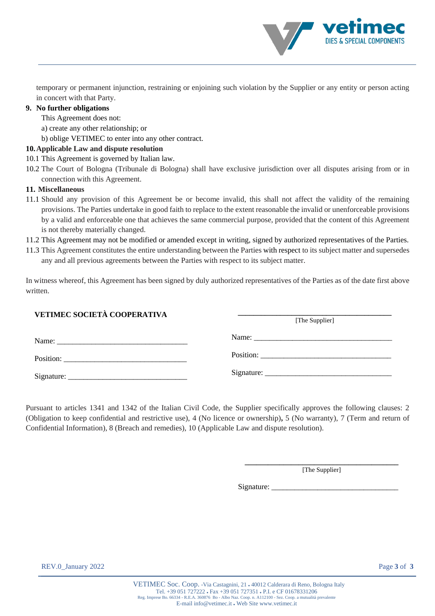temporary or permanent injunction, restraining or enjoining such violation by the Supplier or any entity or person acting in concert with that Party.

# **9. No further obligations**

This Agreement does not:

- a) create any other relationship; or
- b) oblige VETIMEC to enter into any other contract.

# **10.Applicable Law and dispute resolution**

- 10.1 This Agreement is governed by Italian law.
- 10.2 The Court of Bologna (Tribunale di Bologna) shall have exclusive jurisdiction over all disputes arising from or in connection with this Agreement.

# **11. Miscellaneous**

- 11.1 Should any provision of this Agreement be or become invalid, this shall not affect the validity of the remaining provisions. The Parties undertake in good faith to replace to the extent reasonable the invalid or unenforceable provisions by a valid and enforceable one that achieves the same commercial purpose, provided that the content of this Agreement is not thereby materially changed.
- 11.2 This Agreement may not be modified or amended except in writing, signed by authorized representatives of the Parties.
- 11.3 This Agreement constitutes the entire understanding between the Parties [with respect](https://www.lawinsider.com/clause/entire-agreement) to its subject matter and supersedes any and all previous agreements between the Parties with respect to its subject matter.

In witness whereof, this Agreement has been signed by duly authorized representatives of the Parties as of the date first above written.

# **VETIMEC SOCIETÀ COOPERATIVA**

| Name:<br>the contract of the contract of the contract of the contract of the contract of the contract of the contract of |  |  |  |
|--------------------------------------------------------------------------------------------------------------------------|--|--|--|
| Position:                                                                                                                |  |  |  |
| Signature:                                                                                                               |  |  |  |

Pursuant to articles 1341 and 1342 of the Italian Civil Code, the Supplier specifically approves the following clauses: 2 (Obligation to keep confidential and restrictive use), 4 (No licence or ownership)**,** 5 (No warranty), 7 (Term and return of Confidential Information), 8 (Breach and remedies), 10 (Applicable Law and dispute resolution).

> **\_\_\_\_\_\_\_\_\_\_\_\_\_\_\_\_\_\_\_\_\_\_\_\_\_\_\_\_\_\_\_\_\_\_\_\_\_\_\_\_** [The Supplier]

Signature:

**\_\_\_\_\_\_\_\_\_\_\_\_\_\_\_\_\_\_\_\_\_\_\_\_\_\_\_\_\_\_\_\_\_\_\_\_\_\_\_\_** [The Supplier]

DIES & SPECIAL COMPONENTS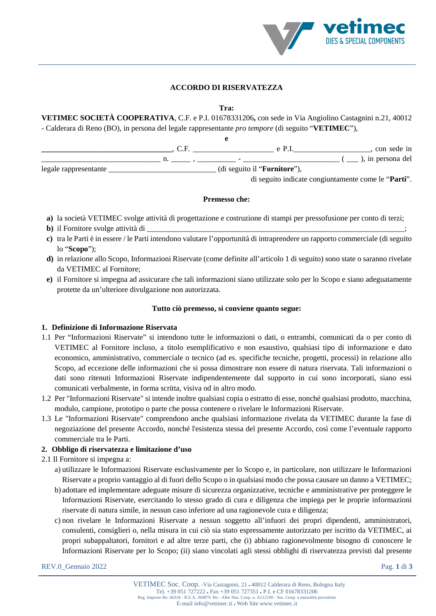

# **ACCORDO DI RISERVATEZZA**

**Tra:** 

**VETIMEC SOCIETÀ COOPERATIVA**, C.F. e P.I. 01678331206**,** con sede in Via Angiolino Castagnini n.21, 40012 - Calderara di Reno (BO), in persona del legale rappresentante *pro tempore* (di seguito "**VETIMEC**"),

|                       |                                       | $e$ P $\vert$ | con sede in                                   |
|-----------------------|---------------------------------------|---------------|-----------------------------------------------|
|                       | $\overline{\phantom{0}}$              |               | $(\underline{\hspace{1cm}})$ , in persona del |
| legale rappresentante | (di seguito il " <b>Fornitore</b> "), |               |                                               |

di seguito indicate congiuntamente come le "**Parti**".

#### **Premesso che:**

- **a)** la società VETIMEC svolge attività di progettazione e costruzione di stampi per pressofusione per conto di terzi;
- **b**) il Fornitore svolge attività di
- **c)** tra le Parti è in essere / le Parti intendono valutare l'opportunità di intraprendere un rapporto commerciale (di seguito lo "**Scopo**");
- **d)** in relazione allo Scopo, Informazioni Riservate (come definite all'articolo 1 di seguito) sono state o saranno rivelate da VETIMEC al Fornitore;
- **e)** il Fornitore si impegna ad assicurare che tali informazioni siano utilizzate solo per lo Scopo e siano adeguatamente protette da un'ulteriore divulgazione non autorizzata.

## **Tutto ciò premesso, si conviene quanto segue:**

#### **1. Definizione di Informazione Riservata**

- 1.1 Per "Informazioni Riservate" si intendono tutte le informazioni o dati, o entrambi, comunicati da o per conto di VETIMEC al Fornitore incluso, a titolo esemplificativo e non esaustivo, qualsiasi tipo di informazione e dato economico, amministrativo, commerciale o tecnico (ad es. specifiche tecniche, progetti, processi) in relazione allo Scopo, ad eccezione delle informazioni che si possa dimostrare non essere di natura riservata. Tali informazioni o dati sono ritenuti Informazioni Riservate indipendentemente dal supporto in cui sono incorporati, siano essi comunicati verbalmente, in forma scritta, visiva od in altro modo.
- 1.2 Per "Informazioni Riservate" si intende inoltre qualsiasi copia o estratto di esse, nonché qualsiasi prodotto, macchina, modulo, campione, prototipo o parte che possa contenere o rivelare le Informazioni Riservate.
- 1.3 Le "Informazioni Riservate" comprendono anche qualsiasi informazione rivelata da VETIMEC durante la fase di negoziazione del presente Accordo, nonché l'esistenza stessa del presente Accordo, così come l'eventuale rapporto commerciale tra le Parti.

#### **2. Obbligo di riservatezza e limitazione d'uso**

- 2.1 Il Fornitore si impegna a:
	- a) utilizzare le Informazioni Riservate esclusivamente per lo Scopo e, in particolare, non utilizzare le Informazioni Riservate a proprio vantaggio al di fuori dello Scopo o in qualsiasi modo che possa causare un danno a VETIMEC;
	- b) adottare ed implementare adeguate misure di sicurezza organizzative, tecniche e amministrative per proteggere le Informazioni Riservate, esercitando lo stesso grado di cura e diligenza che impiega per le proprie informazioni riservate di natura simile, in nessun caso inferiore ad una ragionevole cura e diligenza;
	- c) non rivelare le Informazioni Riservate a nessun soggetto all'infuori dei propri dipendenti, amministratori, consulenti, consiglieri o, nella misura in cui ciò sia stato espressamente autorizzato per iscritto da VETIMEC, ai propri subappaltatori, fornitori e ad altre terze parti, che (i) abbiano ragionevolmente bisogno di conoscere le Informazioni Riservate per lo Scopo; (ii) siano vincolati agli stessi obblighi di riservatezza previsti dal presente

REV.0\_Gennaio 2022 Pag. **1** di **3**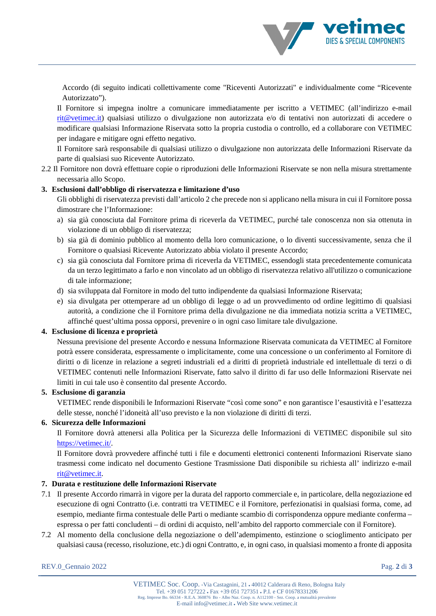Accordo (di seguito indicati collettivamente come "Riceventi Autorizzati" e individualmente come "Ricevente Autorizzato").

Il Fornitore si impegna inoltre a comunicare immediatamente per iscritto a VETIMEC (all'indirizzo e-mail [rit@vetimec.it\)](mailto:rit@vetimec.it) qualsiasi utilizzo o divulgazione non autorizzata e/o di tentativi non autorizzati di accedere o modificare qualsiasi Informazione Riservata sotto la propria custodia o controllo, ed a collaborare con VETIMEC per indagare e mitigare ogni effetto negativo.

Il Fornitore sarà responsabile di qualsiasi utilizzo o divulgazione non autorizzata delle Informazioni Riservate da parte di qualsiasi suo Ricevente Autorizzato.

2.2 Il Fornitore non dovrà effettuare copie o riproduzioni delle Informazioni Riservate se non nella misura strettamente necessaria allo Scopo.

# **3. Esclusioni dall'obbligo di riservatezza e limitazione d'uso**

Gli obblighi di riservatezza previsti dall'articolo 2 che precede non si applicano nella misura in cui il Fornitore possa dimostrare che l'Informazione:

- a) sia già conosciuta dal Fornitore prima di riceverla da VETIMEC, purché tale conoscenza non sia ottenuta in violazione di un obbligo di riservatezza;
- b) sia già di dominio pubblico al momento della loro comunicazione, o lo diventi successivamente, senza che il Fornitore o qualsiasi Ricevente Autorizzato abbia violato il presente Accordo;
- c) sia già conosciuta dal Fornitore prima di riceverla da VETIMEC, essendogli stata precedentemente comunicata da un terzo legittimato a farlo e non vincolato ad un obbligo di riservatezza relativo all'utilizzo o comunicazione di tale informazione;
- d) sia sviluppata dal Fornitore in modo del tutto indipendente da qualsiasi Informazione Riservata;
- e) sia divulgata per ottemperare ad un obbligo di legge o ad un provvedimento od ordine legittimo di qualsiasi autorità, a condizione che il Fornitore prima della divulgazione ne dia immediata notizia scritta a VETIMEC, affinché quest'ultima possa opporsi, prevenire o in ogni caso limitare tale divulgazione.

# **4. Esclusione di licenza e proprietà**

Nessuna previsione del presente Accordo e nessuna Informazione Riservata comunicata da VETIMEC al Fornitore potrà essere considerata, espressamente o implicitamente, come una concessione o un conferimento al Fornitore di diritti o di licenze in relazione a segreti industriali ed a diritti di proprietà industriale ed intellettuale di terzi o di VETIMEC contenuti nelle Informazioni Riservate, fatto salvo il diritto di far uso delle Informazioni Riservate nei limiti in cui tale uso è consentito dal presente Accordo.

# **5. Esclusione di garanzia**

VETIMEC rende disponibili le Informazioni Riservate "così come sono" e non garantisce l'esaustività e l'esattezza delle stesse, nonché l'idoneità all'uso previsto e la non violazione di diritti di terzi.

# **6. Sicurezza delle Informazioni**

Il Fornitore dovrà attenersi alla Politica per la Sicurezza delle Informazioni di VETIMEC disponibile sul sito [https://vetimec.it/.](https://vetimec.it/)

Il Fornitore dovrà provvedere affinché tutti i file e documenti elettronici contenenti Informazioni Riservate siano trasmessi come indicato nel documento Gestione Trasmissione Dati disponibile su richiesta all' indirizzo e-mail [rit@vetimec.it.](mailto:rit@vetimec.it)

# **7. Durata e restituzione delle Informazioni Riservate**

- 7.1 Il presente Accordo rimarrà in vigore per la durata del rapporto commerciale e, in particolare, della negoziazione ed esecuzione di ogni Contratto (i.e. contratti tra VETIMEC e il Fornitore, perfezionatisi in qualsiasi forma, come, ad esempio, mediante firma contestuale delle Parti o mediante scambio di corrispondenza oppure mediante conferma – espressa o per fatti concludenti – di ordini di acquisto, nell'ambito del rapporto commerciale con il Fornitore).
- 7.2 Al momento della conclusione della negoziazione o dell'adempimento, estinzione o scioglimento anticipato per qualsiasi causa (recesso, risoluzione, etc.) di ogni Contratto, e, in ogni caso, in qualsiasi momento a fronte di apposita

DIES & SPECIAL COMPONENTS